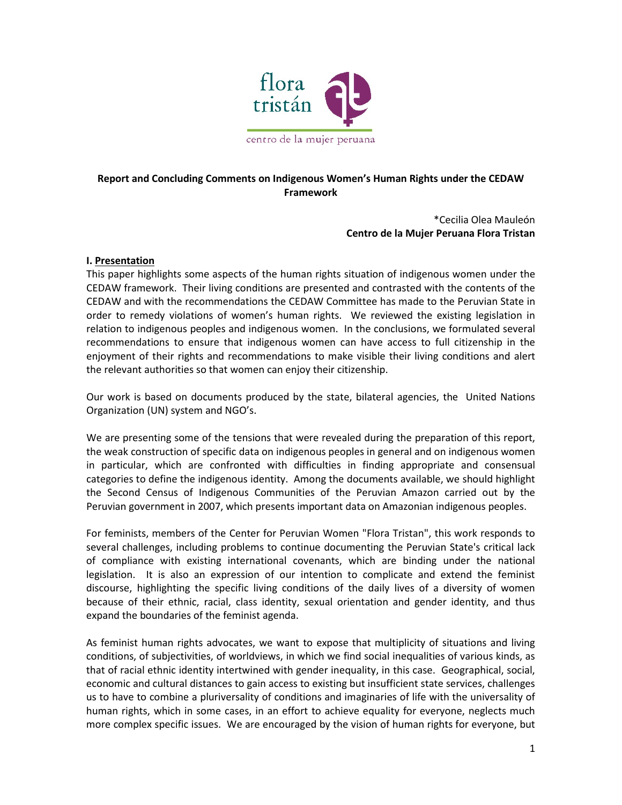

# **Report and Concluding Comments on Indigenous Women's Human Rights under the CEDAW Framework**

\*Cecilia Olea Mauleón **Centro de la Mujer Peruana Flora Tristan**

#### **I. Presentation**

This paper highlights some aspects of the human rights situation of indigenous women under the CEDAW framework. Their living conditions are presented and contrasted with the contents of the CEDAW and with the recommendations the CEDAW Committee has made to the Peruvian State in order to remedy violations of women's human rights. We reviewed the existing legislation in relation to indigenous peoples and indigenous women. In the conclusions, we formulated several recommendations to ensure that indigenous women can have access to full citizenship in the enjoyment of their rights and recommendations to make visible their living conditions and alert the relevant authorities so that women can enjoy their citizenship.

Our work is based on documents produced by the state, bilateral agencies, the United Nations Organization (UN) system and NGO's.

We are presenting some of the tensions that were revealed during the preparation of this report, the weak construction of specific data on indigenous peoples in general and on indigenous women in particular, which are confronted with difficulties in finding appropriate and consensual categories to define the indigenous identity. Among the documents available, we should highlight the Second Census of Indigenous Communities of the Peruvian Amazon carried out by the Peruvian government in 2007, which presents important data on Amazonian indigenous peoples.

For feminists, members of the Center for Peruvian Women "Flora Tristan", this work responds to several challenges, including problems to continue documenting the Peruvian State's critical lack of compliance with existing international covenants, which are binding under the national legislation. It is also an expression of our intention to complicate and extend the feminist discourse, highlighting the specific living conditions of the daily lives of a diversity of women because of their ethnic, racial, class identity, sexual orientation and gender identity, and thus expand the boundaries of the feminist agenda.

As feminist human rights advocates, we want to expose that multiplicity of situations and living conditions, of subjectivities, of worldviews, in which we find social inequalities of various kinds, as that of racial ethnic identity intertwined with gender inequality, in this case. Geographical, social, economic and cultural distances to gain access to existing but insufficient state services, challenges us to have to combine a pluriversality of conditions and imaginaries of life with the universality of human rights, which in some cases, in an effort to achieve equality for everyone, neglects much more complex specific issues. We are encouraged by the vision of human rights for everyone, but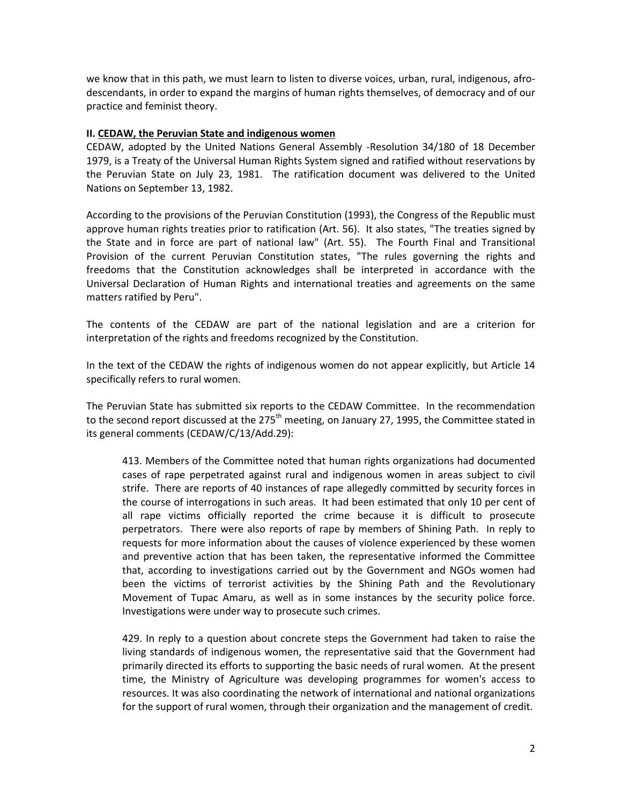we know that in this path, we must learn to listen to diverse voices, urban, rural, indigenous, afrodescendants, in order to expand the margins of human rights themselves, of democracy and of our practice and feminist theory.

#### **II. CEDAW, the Peruvian State and indigenous women**

CEDAW, adopted by the United Nations General Assembly -Resolution 34/180 of 18 December 1979, is a Treaty of the Universal Human Rights System signed and ratified without reservations by the Peruvian State on July 23, 1981. The ratification document was delivered to the United Nations on September 13, 1982.

According to the provisions of the Peruvian Constitution (1993), the Congress of the Republic must approve human rights treaties prior to ratification (Art. 56). It also states, "The treaties signed by the State and in force are part of national law" (Art. 55). The Fourth Final and Transitional Provision of the current Peruvian Constitution states, "The rules governing the rights and freedoms that the Constitution acknowledges shall be interpreted in accordance with the Universal Declaration of Human Rights and international treaties and agreements on the same matters ratified by Peru".

The contents of the CEDAW are part of the national legislation and are a criterion for interpretation of the rights and freedoms recognized by the Constitution.

In the text of the CEDAW the rights of indigenous women do not appear explicitly, but Article 14 specifically refers to rural women.

The Peruvian State has submitted six reports to the CEDAW Committee. In the recommendation to the second report discussed at the 275<sup>th</sup> meeting, on January 27, 1995, the Committee stated in its general comments (CEDAW/C/13/Add.29):

413. Members of the Committee noted that human rights organizations had documented cases of rape perpetrated against rural and indigenous women in areas subject to civil strife. There are reports of 40 instances of rape allegedly committed by security forces in the course of interrogations in such areas. It had been estimated that only 10 per cent of all rape victims officially reported the crime because it is difficult to prosecute perpetrators. There were also reports of rape by members of Shining Path. In reply to requests for more information about the causes of violence experienced by these women and preventive action that has been taken, the representative informed the Committee that, according to investigations carried out by the Government and NGOs women had been the victims of terrorist activities by the Shining Path and the Revolutionary Movement of Tupac Amaru, as well as in some instances by the security police force. Investigations were under way to prosecute such crimes.

429. In reply to a question about concrete steps the Government had taken to raise the living standards of indigenous women, the representative said that the Government had primarily directed its efforts to supporting the basic needs of rural women. At the present time, the Ministry of Agriculture was developing programmes for women's access to resources. It was also coordinating the network of international and national organizations for the support of rural women, through their organization and the management of credit.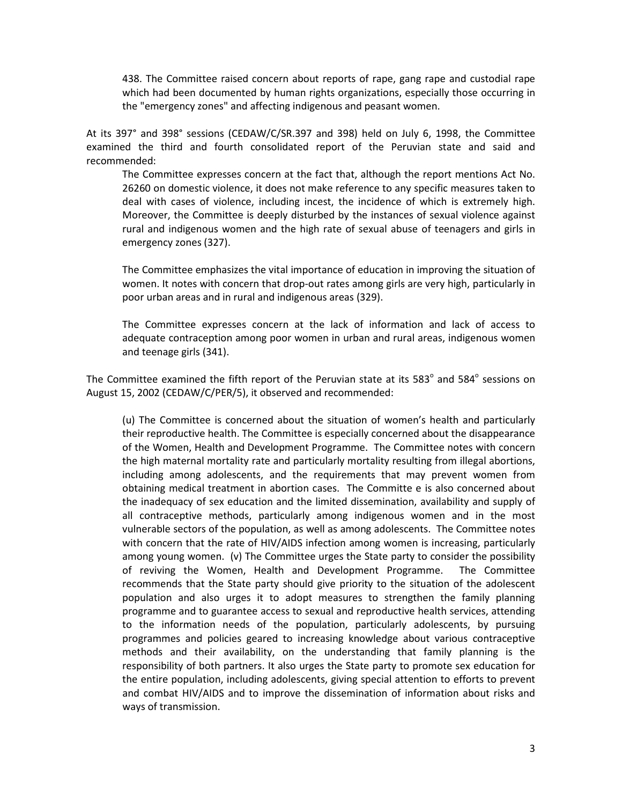438. The Committee raised concern about reports of rape, gang rape and custodial rape which had been documented by human rights organizations, especially those occurring in the "emergency zones" and affecting indigenous and peasant women.

At its 397° and 398° sessions (CEDAW/C/SR.397 and 398) held on July 6, 1998, the Committee examined the third and fourth consolidated report of the Peruvian state and said and recommended:

The Committee expresses concern at the fact that, although the report mentions Act No. 26260 on domestic violence, it does not make reference to any specific measures taken to deal with cases of violence, including incest, the incidence of which is extremely high. Moreover, the Committee is deeply disturbed by the instances of sexual violence against rural and indigenous women and the high rate of sexual abuse of teenagers and girls in emergency zones (327).

The Committee emphasizes the vital importance of education in improving the situation of women. It notes with concern that drop-out rates among girls are very high, particularly in poor urban areas and in rural and indigenous areas (329).

The Committee expresses concern at the lack of information and lack of access to adequate contraception among poor women in urban and rural areas, indigenous women and teenage girls (341).

The Committee examined the fifth report of the Peruvian state at its 583° and 584° sessions on August 15, 2002 (CEDAW/C/PER/5), it observed and recommended:

(u) The Committee is concerned about the situation of women's health and particularly their reproductive health. The Committee is especially concerned about the disappearance of the Women, Health and Development Programme. The Committee notes with concern the high maternal mortality rate and particularly mortality resulting from illegal abortions, including among adolescents, and the requirements that may prevent women from obtaining medical treatment in abortion cases. The Committe e is also concerned about the inadequacy of sex education and the limited dissemination, availability and supply of all contraceptive methods, particularly among indigenous women and in the most vulnerable sectors of the population, as well as among adolescents. The Committee notes with concern that the rate of HIV/AIDS infection among women is increasing, particularly among young women. (v) The Committee urges the State party to consider the possibility of reviving the Women, Health and Development Programme. The Committee recommends that the State party should give priority to the situation of the adolescent population and also urges it to adopt measures to strengthen the family planning programme and to guarantee access to sexual and reproductive health services, attending to the information needs of the population, particularly adolescents, by pursuing programmes and policies geared to increasing knowledge about various contraceptive methods and their availability, on the understanding that family planning is the responsibility of both partners. It also urges the State party to promote sex education for the entire population, including adolescents, giving special attention to efforts to prevent and combat HIV/AIDS and to improve the dissemination of information about risks and ways of transmission.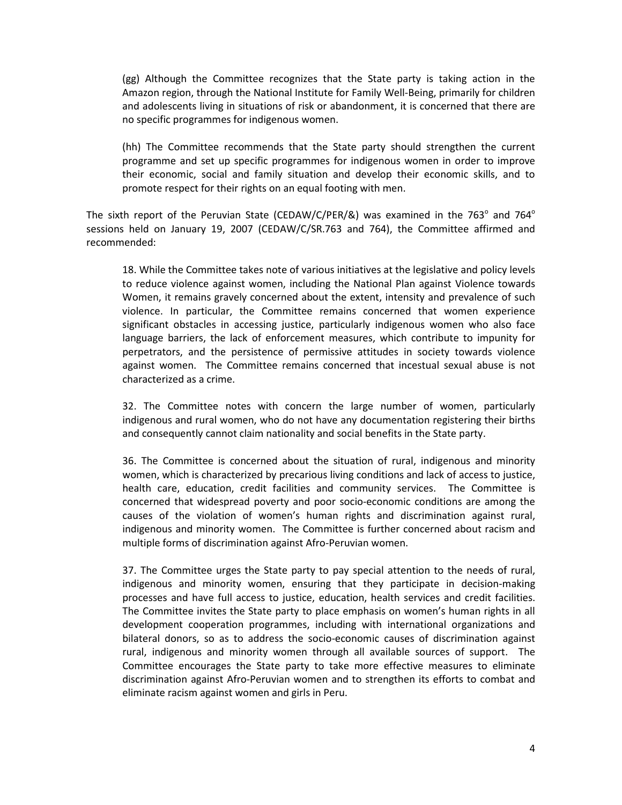(gg) Although the Committee recognizes that the State party is taking action in the Amazon region, through the National Institute for Family Well-Being, primarily for children and adolescents living in situations of risk or abandonment, it is concerned that there are no specific programmes for indigenous women.

(hh) The Committee recommends that the State party should strengthen the current programme and set up specific programmes for indigenous women in order to improve their economic, social and family situation and develop their economic skills, and to promote respect for their rights on an equal footing with men.

The sixth report of the Peruvian State (CEDAW/C/PER/&) was examined in the 763 $^{\circ}$  and 764 $^{\circ}$ sessions held on January 19, 2007 (CEDAW/C/SR.763 and 764), the Committee affirmed and recommended:

18. While the Committee takes note of various initiatives at the legislative and policy levels to reduce violence against women, including the National Plan against Violence towards Women, it remains gravely concerned about the extent, intensity and prevalence of such violence. In particular, the Committee remains concerned that women experience significant obstacles in accessing justice, particularly indigenous women who also face language barriers, the lack of enforcement measures, which contribute to impunity for perpetrators, and the persistence of permissive attitudes in society towards violence against women. The Committee remains concerned that incestual sexual abuse is not characterized as a crime.

32. The Committee notes with concern the large number of women, particularly indigenous and rural women, who do not have any documentation registering their births and consequently cannot claim nationality and social benefits in the State party.

36. The Committee is concerned about the situation of rural, indigenous and minority women, which is characterized by precarious living conditions and lack of access to justice, health care, education, credit facilities and community services. The Committee is concerned that widespread poverty and poor socio-economic conditions are among the causes of the violation of women's human rights and discrimination against rural, indigenous and minority women. The Committee is further concerned about racism and multiple forms of discrimination against Afro-Peruvian women.

37. The Committee urges the State party to pay special attention to the needs of rural, indigenous and minority women, ensuring that they participate in decision-making processes and have full access to justice, education, health services and credit facilities. The Committee invites the State party to place emphasis on women's human rights in all development cooperation programmes, including with international organizations and bilateral donors, so as to address the socio-economic causes of discrimination against rural, indigenous and minority women through all available sources of support. The Committee encourages the State party to take more effective measures to eliminate discrimination against Afro-Peruvian women and to strengthen its efforts to combat and eliminate racism against women and girls in Peru.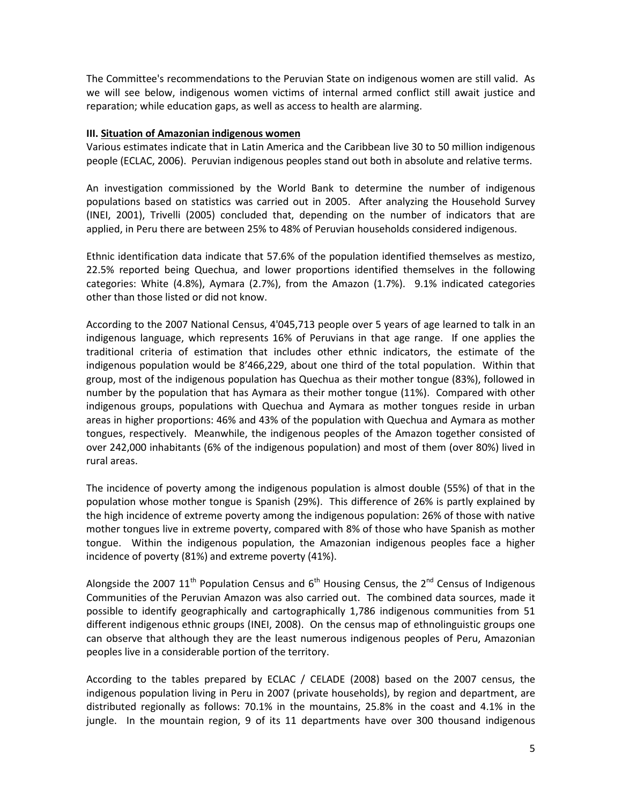The Committee's recommendations to the Peruvian State on indigenous women are still valid. As we will see below, indigenous women victims of internal armed conflict still await justice and reparation; while education gaps, as well as access to health are alarming.

#### **III. Situation of Amazonian indigenous women**

Various estimates indicate that in Latin America and the Caribbean live 30 to 50 million indigenous people (ECLAC, 2006). Peruvian indigenous peoples stand out both in absolute and relative terms.

An investigation commissioned by the World Bank to determine the number of indigenous populations based on statistics was carried out in 2005. After analyzing the Household Survey (INEI, 2001), Trivelli (2005) concluded that, depending on the number of indicators that are applied, in Peru there are between 25% to 48% of Peruvian households considered indigenous.

Ethnic identification data indicate that 57.6% of the population identified themselves as mestizo, 22.5% reported being Quechua, and lower proportions identified themselves in the following categories: White (4.8%), Aymara (2.7%), from the Amazon (1.7%). 9.1% indicated categories other than those listed or did not know.

According to the 2007 National Census, 4'045,713 people over 5 years of age learned to talk in an indigenous language, which represents 16% of Peruvians in that age range. If one applies the traditional criteria of estimation that includes other ethnic indicators, the estimate of the indigenous population would be 8'466,229, about one third of the total population. Within that group, most of the indigenous population has Quechua as their mother tongue (83%), followed in number by the population that has Aymara as their mother tongue (11%). Compared with other indigenous groups, populations with Quechua and Aymara as mother tongues reside in urban areas in higher proportions: 46% and 43% of the population with Quechua and Aymara as mother tongues, respectively. Meanwhile, the indigenous peoples of the Amazon together consisted of over 242,000 inhabitants (6% of the indigenous population) and most of them (over 80%) lived in rural areas.

The incidence of poverty among the indigenous population is almost double (55%) of that in the population whose mother tongue is Spanish (29%). This difference of 26% is partly explained by the high incidence of extreme poverty among the indigenous population: 26% of those with native mother tongues live in extreme poverty, compared with 8% of those who have Spanish as mother tongue. Within the indigenous population, the Amazonian indigenous peoples face a higher incidence of poverty (81%) and extreme poverty (41%).

Alongside the 2007  $11<sup>th</sup>$  Population Census and  $6<sup>th</sup>$  Housing Census, the  $2<sup>nd</sup>$  Census of Indigenous Communities of the Peruvian Amazon was also carried out. The combined data sources, made it possible to identify geographically and cartographically 1,786 indigenous communities from 51 different indigenous ethnic groups (INEI, 2008). On the census map of ethnolinguistic groups one can observe that although they are the least numerous indigenous peoples of Peru, Amazonian peoples live in a considerable portion of the territory.

According to the tables prepared by ECLAC / CELADE (2008) based on the 2007 census, the indigenous population living in Peru in 2007 (private households), by region and department, are distributed regionally as follows: 70.1% in the mountains, 25.8% in the coast and 4.1% in the jungle. In the mountain region, 9 of its 11 departments have over 300 thousand indigenous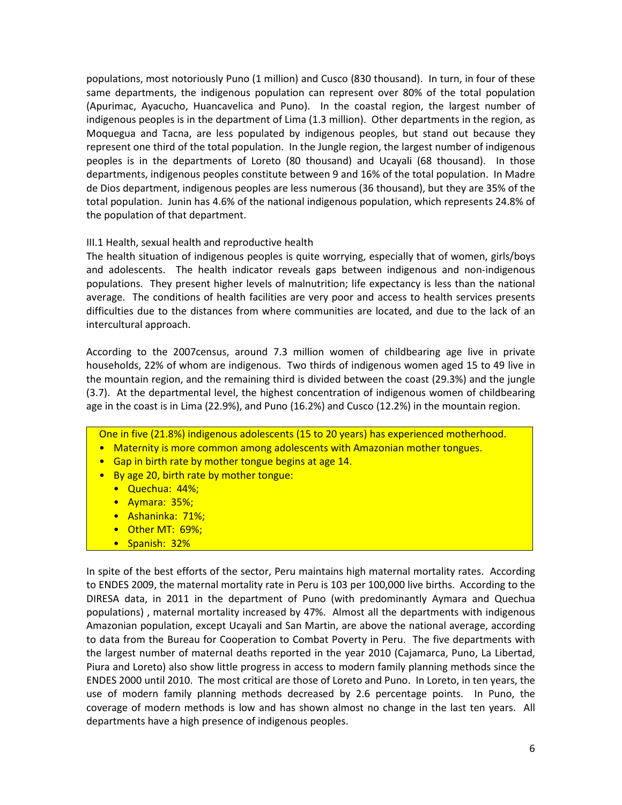populations, most notoriously Puno (1 million) and Cusco (830 thousand). In turn, in four of these same departments, the indigenous population can represent over 80% of the total population (Apurimac, Ayacucho, Huancavelica and Puno). In the coastal region, the largest number of indigenous peoples is in the department of Lima (1.3 million). Other departments in the region, as Moquegua and Tacna, are less populated by indigenous peoples, but stand out because they represent one third of the total population. In the Jungle region, the largest number of indigenous peoples is in the departments of Loreto (80 thousand) and Ucayali (68 thousand). In those departments, indigenous peoples constitute between 9 and 16% of the total population. In Madre de Dios department, indigenous peoples are less numerous (36 thousand), but they are 35% of the total population. Junin has 4.6% of the national indigenous population, which represents 24.8% of the population of that department.

## III.1 Health, sexual health and reproductive health

The health situation of indigenous peoples is quite worrying, especially that of women, girls/boys and adolescents. The health indicator reveals gaps between indigenous and non-indigenous populations. They present higher levels of malnutrition; life expectancy is less than the national average. The conditions of health facilities are very poor and access to health services presents difficulties due to the distances from where communities are located, and due to the lack of an intercultural approach.

According to the 2007census, around 7.3 million women of childbearing age live in private households, 22% of whom are indigenous. Two thirds of indigenous women aged 15 to 49 live in the mountain region, and the remaining third is divided between the coast (29.3%) and the jungle (3.7). At the departmental level, the highest concentration of indigenous women of childbearing age in the coast is in Lima (22.9%), and Puno (16.2%) and Cusco (12.2%) in the mountain region.

### One in five (21.8%) indigenous adolescents (15 to 20 years) has experienced motherhood.

- Maternity is more common among adolescents with Amazonian mother tongues.
- Gap in birth rate by mother tongue begins at age 14.
- By age 20, birth rate by mother tongue:
	- Quechua: 44%;
	- Aymara: 35%;
	- Ashaninka: 71%;
	- Other MT: 69%;
	- Spanish: 32%

In spite of the best efforts of the sector, Peru maintains high maternal mortality rates. According to ENDES 2009, the maternal mortality rate in Peru is 103 per 100,000 live births. According to the DIRESA data, in 2011 in the department of Puno (with predominantly Aymara and Quechua populations) , maternal mortality increased by 47%. Almost all the departments with indigenous Amazonian population, except Ucayali and San Martin, are above the national average, according to data from the Bureau for Cooperation to Combat Poverty in Peru. The five departments with the largest number of maternal deaths reported in the year 2010 (Cajamarca, Puno, La Libertad, Piura and Loreto) also show little progress in access to modern family planning methods since the ENDES 2000 until 2010. The most critical are those of Loreto and Puno. In Loreto, in ten years, the use of modern family planning methods decreased by 2.6 percentage points. In Puno, the coverage of modern methods is low and has shown almost no change in the last ten years. All departments have a high presence of indigenous peoples.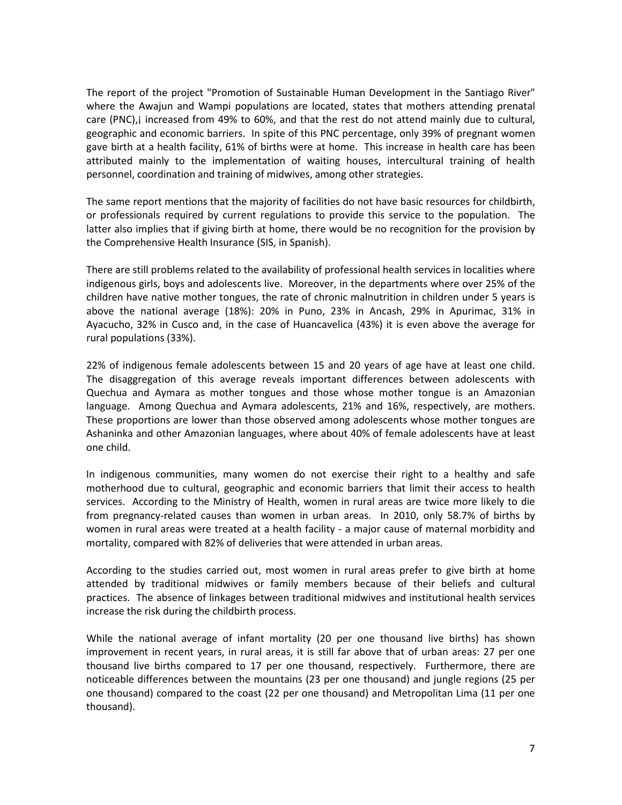The report of the project "Promotion of Sustainable Human Development in the Santiago River" where the Awajun and Wampi populations are located, states that mothers attending prenatal care (PNC),¡ increased from 49% to 60%, and that the rest do not attend mainly due to cultural, geographic and economic barriers. In spite of this PNC percentage, only 39% of pregnant women gave birth at a health facility, 61% of births were at home. This increase in health care has been attributed mainly to the implementation of waiting houses, intercultural training of health personnel, coordination and training of midwives, among other strategies.

The same report mentions that the majority of facilities do not have basic resources for childbirth, or professionals required by current regulations to provide this service to the population. The latter also implies that if giving birth at home, there would be no recognition for the provision by the Comprehensive Health Insurance (SIS, in Spanish).

There are still problems related to the availability of professional health services in localities where indigenous girls, boys and adolescents live. Moreover, in the departments where over 25% of the children have native mother tongues, the rate of chronic malnutrition in children under 5 years is above the national average (18%): 20% in Puno, 23% in Ancash, 29% in Apurimac, 31% in Ayacucho, 32% in Cusco and, in the case of Huancavelica (43%) it is even above the average for rural populations (33%).

22% of indigenous female adolescents between 15 and 20 years of age have at least one child. The disaggregation of this average reveals important differences between adolescents with Quechua and Aymara as mother tongues and those whose mother tongue is an Amazonian language. Among Quechua and Aymara adolescents, 21% and 16%, respectively, are mothers. These proportions are lower than those observed among adolescents whose mother tongues are Ashaninka and other Amazonian languages, where about 40% of female adolescents have at least one child.

In indigenous communities, many women do not exercise their right to a healthy and safe motherhood due to cultural, geographic and economic barriers that limit their access to health services. According to the Ministry of Health, women in rural areas are twice more likely to die from pregnancy-related causes than women in urban areas. In 2010, only 58.7% of births by women in rural areas were treated at a health facility - a major cause of maternal morbidity and mortality, compared with 82% of deliveries that were attended in urban areas.

According to the studies carried out, most women in rural areas prefer to give birth at home attended by traditional midwives or family members because of their beliefs and cultural practices. The absence of linkages between traditional midwives and institutional health services increase the risk during the childbirth process.

While the national average of infant mortality (20 per one thousand live births) has shown improvement in recent years, in rural areas, it is still far above that of urban areas: 27 per one thousand live births compared to 17 per one thousand, respectively. Furthermore, there are noticeable differences between the mountains (23 per one thousand) and jungle regions (25 per one thousand) compared to the coast (22 per one thousand) and Metropolitan Lima (11 per one thousand).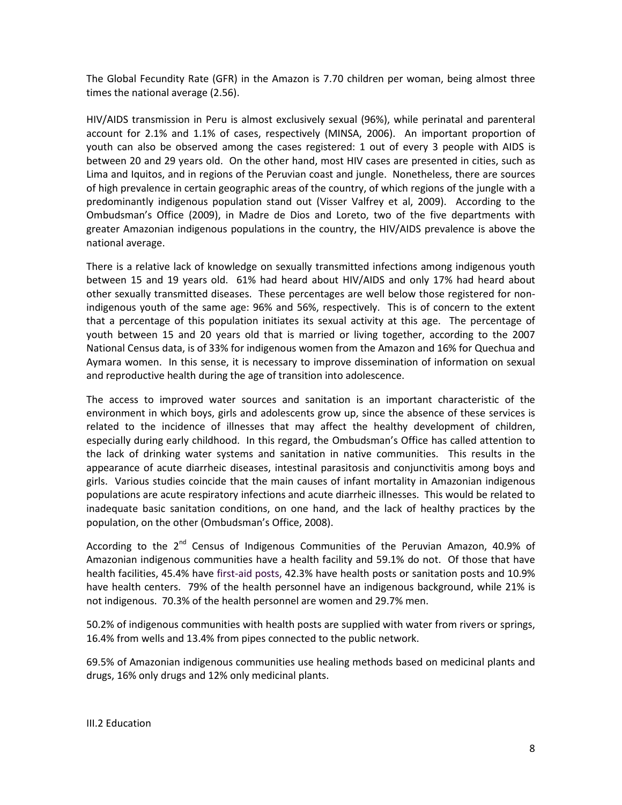The Global Fecundity Rate (GFR) in the Amazon is 7.70 children per woman, being almost three times the national average (2.56).

HIV/AIDS transmission in Peru is almost exclusively sexual (96%), while perinatal and parenteral account for 2.1% and 1.1% of cases, respectively (MINSA, 2006). An important proportion of youth can also be observed among the cases registered: 1 out of every 3 people with AIDS is between 20 and 29 years old. On the other hand, most HIV cases are presented in cities, such as Lima and Iquitos, and in regions of the Peruvian coast and jungle. Nonetheless, there are sources of high prevalence in certain geographic areas of the country, of which regions of the jungle with a predominantly indigenous population stand out (Visser Valfrey et al, 2009). According to the Ombudsman's Office (2009), in Madre de Dios and Loreto, two of the five departments with greater Amazonian indigenous populations in the country, the HIV/AIDS prevalence is above the national average.

There is a relative lack of knowledge on sexually transmitted infections among indigenous youth between 15 and 19 years old. 61% had heard about HIV/AIDS and only 17% had heard about other sexually transmitted diseases. These percentages are well below those registered for nonindigenous youth of the same age: 96% and 56%, respectively. This is of concern to the extent that a percentage of this population initiates its sexual activity at this age. The percentage of youth between 15 and 20 years old that is married or living together, according to the 2007 National Census data, is of 33% for indigenous women from the Amazon and 16% for Quechua and Aymara women. In this sense, it is necessary to improve dissemination of information on sexual and reproductive health during the age of transition into adolescence.

The access to improved water sources and sanitation is an important characteristic of the environment in which boys, girls and adolescents grow up, since the absence of these services is related to the incidence of illnesses that may affect the healthy development of children, especially during early childhood. In this regard, the Ombudsman's Office has called attention to the lack of drinking water systems and sanitation in native communities. This results in the appearance of acute diarrheic diseases, intestinal parasitosis and conjunctivitis among boys and girls. Various studies coincide that the main causes of infant mortality in Amazonian indigenous populations are acute respiratory infections and acute diarrheic illnesses. This would be related to inadequate basic sanitation conditions, on one hand, and the lack of healthy practices by the population, on the other (Ombudsman's Office, 2008).

According to the 2<sup>nd</sup> Census of Indigenous Communities of the Peruvian Amazon, 40.9% of Amazonian indigenous communities have a health facility and 59.1% do not. Of those that have health facilities, 45.4% have first-aid posts, 42.3% have health posts or sanitation posts and 10.9% have health centers. 79% of the health personnel have an indigenous background, while 21% is not indigenous. 70.3% of the health personnel are women and 29.7% men.

50.2% of indigenous communities with health posts are supplied with water from rivers or springs, 16.4% from wells and 13.4% from pipes connected to the public network.

69.5% of Amazonian indigenous communities use healing methods based on medicinal plants and drugs, 16% only drugs and 12% only medicinal plants.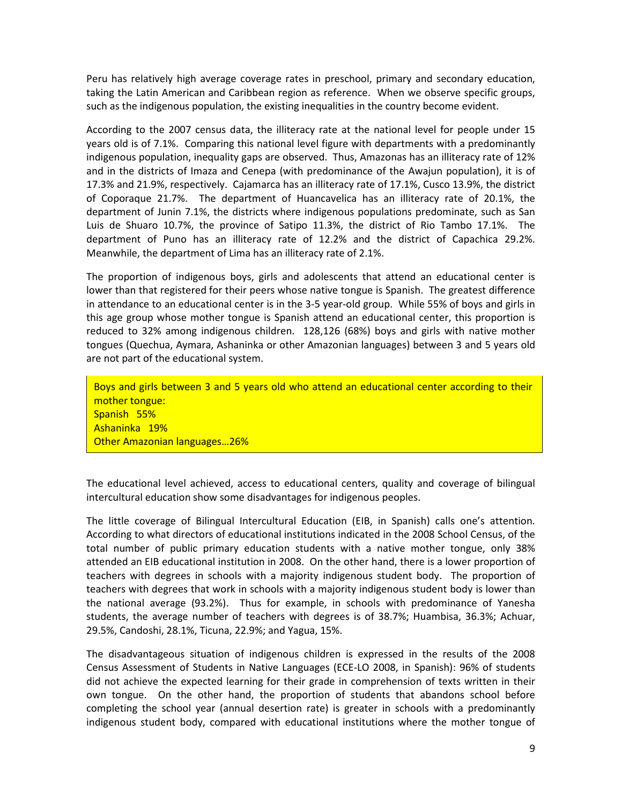Peru has relatively high average coverage rates in preschool, primary and secondary education, taking the Latin American and Caribbean region as reference. When we observe specific groups, such as the indigenous population, the existing inequalities in the country become evident.

According to the 2007 census data, the illiteracy rate at the national level for people under 15 years old is of 7.1%. Comparing this national level figure with departments with a predominantly indigenous population, inequality gaps are observed. Thus, Amazonas has an illiteracy rate of 12% and in the districts of Imaza and Cenepa (with predominance of the Awajun population), it is of 17.3% and 21.9%, respectively. Cajamarca has an illiteracy rate of 17.1%, Cusco 13.9%, the district of Coporaque 21.7%. The department of Huancavelica has an illiteracy rate of 20.1%, the department of Junin 7.1%, the districts where indigenous populations predominate, such as San Luis de Shuaro 10.7%, the province of Satipo 11.3%, the district of Rio Tambo 17.1%. The department of Puno has an illiteracy rate of 12.2% and the district of Capachica 29.2%. Meanwhile, the department of Lima has an illiteracy rate of 2.1%.

The proportion of indigenous boys, girls and adolescents that attend an educational center is lower than that registered for their peers whose native tongue is Spanish. The greatest difference in attendance to an educational center is in the 3-5 year-old group. While 55% of boys and girls in this age group whose mother tongue is Spanish attend an educational center, this proportion is reduced to 32% among indigenous children. 128,126 (68%) boys and girls with native mother tongues (Quechua, Aymara, Ashaninka or other Amazonian languages) between 3 and 5 years old are not part of the educational system.

Boys and girls between 3 and 5 years old who attend an educational center according to their mother tongue: Spanish 55% Ashaninka 19% Other Amazonian languages…26%

The educational level achieved, access to educational centers, quality and coverage of bilingual intercultural education show some disadvantages for indigenous peoples.

The little coverage of Bilingual Intercultural Education (EIB, in Spanish) calls one's attention. According to what directors of educational institutions indicated in the 2008 School Census, of the total number of public primary education students with a native mother tongue, only 38% attended an EIB educational institution in 2008. On the other hand, there is a lower proportion of teachers with degrees in schools with a majority indigenous student body. The proportion of teachers with degrees that work in schools with a majority indigenous student body is lower than the national average (93.2%). Thus for example, in schools with predominance of Yanesha students, the average number of teachers with degrees is of 38.7%; Huambisa, 36.3%; Achuar, 29.5%, Candoshi, 28.1%, Ticuna, 22.9%; and Yagua, 15%.

The disadvantageous situation of indigenous children is expressed in the results of the 2008 Census Assessment of Students in Native Languages (ECE-LO 2008, in Spanish): 96% of students did not achieve the expected learning for their grade in comprehension of texts written in their own tongue. On the other hand, the proportion of students that abandons school before completing the school year (annual desertion rate) is greater in schools with a predominantly indigenous student body, compared with educational institutions where the mother tongue of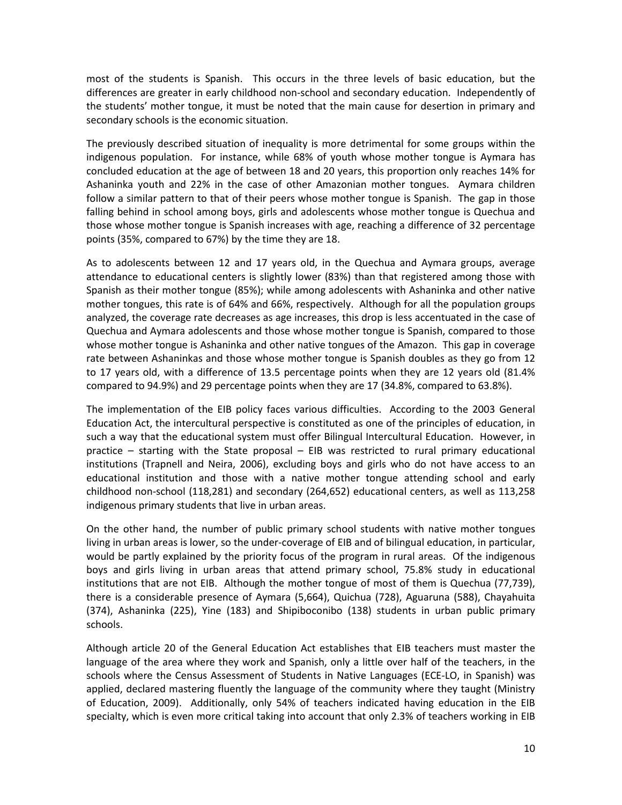most of the students is Spanish. This occurs in the three levels of basic education, but the differences are greater in early childhood non-school and secondary education. Independently of the students' mother tongue, it must be noted that the main cause for desertion in primary and secondary schools is the economic situation.

The previously described situation of inequality is more detrimental for some groups within the indigenous population. For instance, while 68% of youth whose mother tongue is Aymara has concluded education at the age of between 18 and 20 years, this proportion only reaches 14% for Ashaninka youth and 22% in the case of other Amazonian mother tongues. Aymara children follow a similar pattern to that of their peers whose mother tongue is Spanish. The gap in those falling behind in school among boys, girls and adolescents whose mother tongue is Quechua and those whose mother tongue is Spanish increases with age, reaching a difference of 32 percentage points (35%, compared to 67%) by the time they are 18.

As to adolescents between 12 and 17 years old, in the Quechua and Aymara groups, average attendance to educational centers is slightly lower (83%) than that registered among those with Spanish as their mother tongue (85%); while among adolescents with Ashaninka and other native mother tongues, this rate is of 64% and 66%, respectively. Although for all the population groups analyzed, the coverage rate decreases as age increases, this drop is less accentuated in the case of Quechua and Aymara adolescents and those whose mother tongue is Spanish, compared to those whose mother tongue is Ashaninka and other native tongues of the Amazon. This gap in coverage rate between Ashaninkas and those whose mother tongue is Spanish doubles as they go from 12 to 17 years old, with a difference of 13.5 percentage points when they are 12 years old (81.4% compared to 94.9%) and 29 percentage points when they are 17 (34.8%, compared to 63.8%).

The implementation of the EIB policy faces various difficulties. According to the 2003 General Education Act, the intercultural perspective is constituted as one of the principles of education, in such a way that the educational system must offer Bilingual Intercultural Education. However, in practice – starting with the State proposal – EIB was restricted to rural primary educational institutions (Trapnell and Neira, 2006), excluding boys and girls who do not have access to an educational institution and those with a native mother tongue attending school and early childhood non-school (118,281) and secondary (264,652) educational centers, as well as 113,258 indigenous primary students that live in urban areas.

On the other hand, the number of public primary school students with native mother tongues living in urban areas is lower, so the under-coverage of EIB and of bilingual education, in particular, would be partly explained by the priority focus of the program in rural areas. Of the indigenous boys and girls living in urban areas that attend primary school, 75.8% study in educational institutions that are not EIB. Although the mother tongue of most of them is Quechua (77,739), there is a considerable presence of Aymara (5,664), Quichua (728), Aguaruna (588), Chayahuita (374), Ashaninka (225), Yine (183) and Shipiboconibo (138) students in urban public primary schools.

Although article 20 of the General Education Act establishes that EIB teachers must master the language of the area where they work and Spanish, only a little over half of the teachers, in the schools where the Census Assessment of Students in Native Languages (ECE-LO, in Spanish) was applied, declared mastering fluently the language of the community where they taught (Ministry of Education, 2009). Additionally, only 54% of teachers indicated having education in the EIB specialty, which is even more critical taking into account that only 2.3% of teachers working in EIB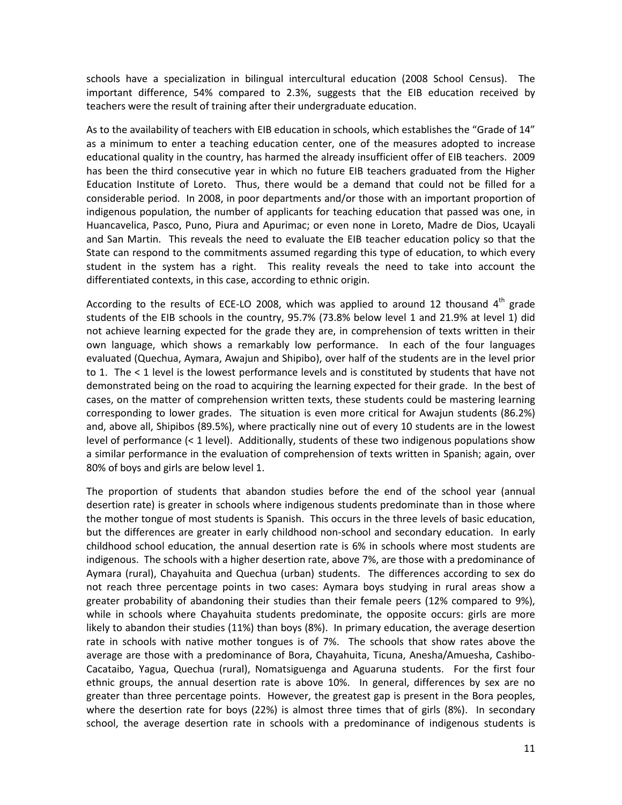schools have a specialization in bilingual intercultural education (2008 School Census). The important difference, 54% compared to 2.3%, suggests that the EIB education received by teachers were the result of training after their undergraduate education.

As to the availability of teachers with EIB education in schools, which establishes the "Grade of 14" as a minimum to enter a teaching education center, one of the measures adopted to increase educational quality in the country, has harmed the already insufficient offer of EIB teachers. 2009 has been the third consecutive year in which no future EIB teachers graduated from the Higher Education Institute of Loreto. Thus, there would be a demand that could not be filled for a considerable period. In 2008, in poor departments and/or those with an important proportion of indigenous population, the number of applicants for teaching education that passed was one, in Huancavelica, Pasco, Puno, Piura and Apurimac; or even none in Loreto, Madre de Dios, Ucayali and San Martin. This reveals the need to evaluate the EIB teacher education policy so that the State can respond to the commitments assumed regarding this type of education, to which every student in the system has a right. This reality reveals the need to take into account the differentiated contexts, in this case, according to ethnic origin.

According to the results of ECE-LO 2008, which was applied to around 12 thousand  $4<sup>th</sup>$  grade students of the EIB schools in the country, 95.7% (73.8% below level 1 and 21.9% at level 1) did not achieve learning expected for the grade they are, in comprehension of texts written in their own language, which shows a remarkably low performance. In each of the four languages evaluated (Quechua, Aymara, Awajun and Shipibo), over half of the students are in the level prior to 1. The < 1 level is the lowest performance levels and is constituted by students that have not demonstrated being on the road to acquiring the learning expected for their grade. In the best of cases, on the matter of comprehension written texts, these students could be mastering learning corresponding to lower grades. The situation is even more critical for Awajun students (86.2%) and, above all, Shipibos (89.5%), where practically nine out of every 10 students are in the lowest level of performance (< 1 level). Additionally, students of these two indigenous populations show a similar performance in the evaluation of comprehension of texts written in Spanish; again, over 80% of boys and girls are below level 1.

The proportion of students that abandon studies before the end of the school year (annual desertion rate) is greater in schools where indigenous students predominate than in those where the mother tongue of most students is Spanish. This occurs in the three levels of basic education, but the differences are greater in early childhood non-school and secondary education. In early childhood school education, the annual desertion rate is 6% in schools where most students are indigenous. The schools with a higher desertion rate, above 7%, are those with a predominance of Aymara (rural), Chayahuita and Quechua (urban) students. The differences according to sex do not reach three percentage points in two cases: Aymara boys studying in rural areas show a greater probability of abandoning their studies than their female peers (12% compared to 9%), while in schools where Chayahuita students predominate, the opposite occurs: girls are more likely to abandon their studies (11%) than boys (8%). In primary education, the average desertion rate in schools with native mother tongues is of 7%. The schools that show rates above the average are those with a predominance of Bora, Chayahuita, Ticuna, Anesha/Amuesha, Cashibo-Cacataibo, Yagua, Quechua (rural), Nomatsiguenga and Aguaruna students. For the first four ethnic groups, the annual desertion rate is above 10%. In general, differences by sex are no greater than three percentage points. However, the greatest gap is present in the Bora peoples, where the desertion rate for boys (22%) is almost three times that of girls (8%). In secondary school, the average desertion rate in schools with a predominance of indigenous students is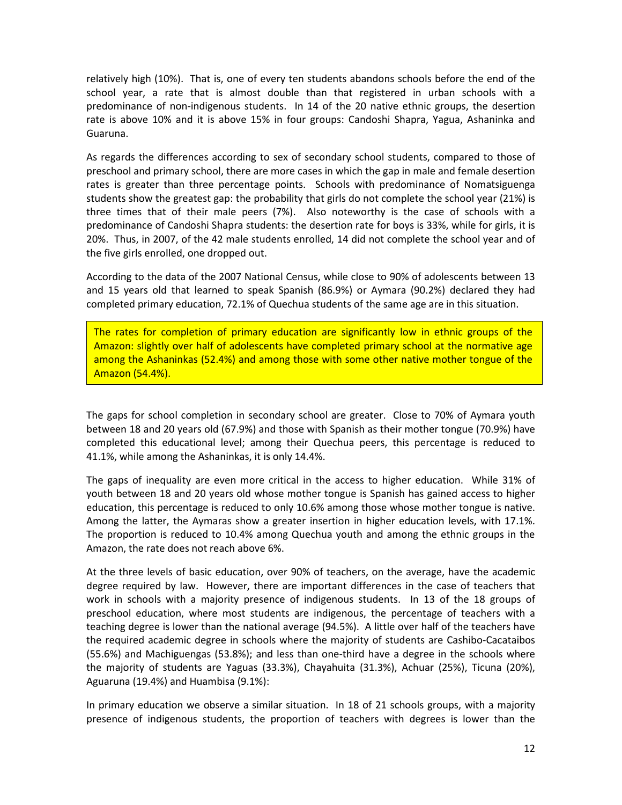relatively high (10%). That is, one of every ten students abandons schools before the end of the school year, a rate that is almost double than that registered in urban schools with a predominance of non-indigenous students. In 14 of the 20 native ethnic groups, the desertion rate is above 10% and it is above 15% in four groups: Candoshi Shapra, Yagua, Ashaninka and Guaruna.

As regards the differences according to sex of secondary school students, compared to those of preschool and primary school, there are more cases in which the gap in male and female desertion rates is greater than three percentage points. Schools with predominance of Nomatsiguenga students show the greatest gap: the probability that girls do not complete the school year (21%) is three times that of their male peers (7%). Also noteworthy is the case of schools with a predominance of Candoshi Shapra students: the desertion rate for boys is 33%, while for girls, it is 20%. Thus, in 2007, of the 42 male students enrolled, 14 did not complete the school year and of the five girls enrolled, one dropped out.

According to the data of the 2007 National Census, while close to 90% of adolescents between 13 and 15 years old that learned to speak Spanish (86.9%) or Aymara (90.2%) declared they had completed primary education, 72.1% of Quechua students of the same age are in this situation.

The rates for completion of primary education are significantly low in ethnic groups of the Amazon: slightly over half of adolescents have completed primary school at the normative age among the Ashaninkas (52.4%) and among those with some other native mother tongue of the Amazon (54.4%).

The gaps for school completion in secondary school are greater. Close to 70% of Aymara youth between 18 and 20 years old (67.9%) and those with Spanish as their mother tongue (70.9%) have completed this educational level; among their Quechua peers, this percentage is reduced to 41.1%, while among the Ashaninkas, it is only 14.4%.

The gaps of inequality are even more critical in the access to higher education. While 31% of youth between 18 and 20 years old whose mother tongue is Spanish has gained access to higher education, this percentage is reduced to only 10.6% among those whose mother tongue is native. Among the latter, the Aymaras show a greater insertion in higher education levels, with 17.1%. The proportion is reduced to 10.4% among Quechua youth and among the ethnic groups in the Amazon, the rate does not reach above 6%.

At the three levels of basic education, over 90% of teachers, on the average, have the academic degree required by law. However, there are important differences in the case of teachers that work in schools with a majority presence of indigenous students. In 13 of the 18 groups of preschool education, where most students are indigenous, the percentage of teachers with a teaching degree is lower than the national average (94.5%). A little over half of the teachers have the required academic degree in schools where the majority of students are Cashibo-Cacataibos (55.6%) and Machiguengas (53.8%); and less than one-third have a degree in the schools where the majority of students are Yaguas (33.3%), Chayahuita (31.3%), Achuar (25%), Ticuna (20%), Aguaruna (19.4%) and Huambisa (9.1%):

In primary education we observe a similar situation. In 18 of 21 schools groups, with a majority presence of indigenous students, the proportion of teachers with degrees is lower than the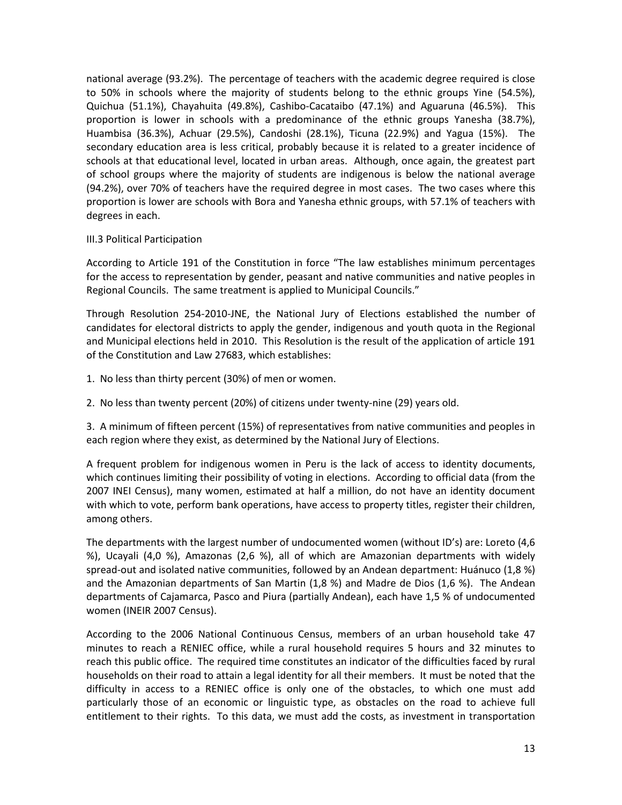national average (93.2%). The percentage of teachers with the academic degree required is close to 50% in schools where the majority of students belong to the ethnic groups Yine (54.5%), Quichua (51.1%), Chayahuita (49.8%), Cashibo-Cacataibo (47.1%) and Aguaruna (46.5%). This proportion is lower in schools with a predominance of the ethnic groups Yanesha (38.7%), Huambisa (36.3%), Achuar (29.5%), Candoshi (28.1%), Ticuna (22.9%) and Yagua (15%). The secondary education area is less critical, probably because it is related to a greater incidence of schools at that educational level, located in urban areas. Although, once again, the greatest part of school groups where the majority of students are indigenous is below the national average (94.2%), over 70% of teachers have the required degree in most cases. The two cases where this proportion is lower are schools with Bora and Yanesha ethnic groups, with 57.1% of teachers with degrees in each.

#### III.3 Political Participation

According to Article 191 of the Constitution in force "The law establishes minimum percentages for the access to representation by gender, peasant and native communities and native peoples in Regional Councils. The same treatment is applied to Municipal Councils."

Through Resolution 254-2010-JNE, the National Jury of Elections established the number of candidates for electoral districts to apply the gender, indigenous and youth quota in the Regional and Municipal elections held in 2010. This Resolution is the result of the application of article 191 of the Constitution and Law 27683, which establishes:

1. No less than thirty percent (30%) of men or women.

2. No less than twenty percent (20%) of citizens under twenty-nine (29) years old.

3. A minimum of fifteen percent (15%) of representatives from native communities and peoples in each region where they exist, as determined by the National Jury of Elections.

A frequent problem for indigenous women in Peru is the lack of access to identity documents, which continues limiting their possibility of voting in elections. According to official data (from the 2007 INEI Census), many women, estimated at half a million, do not have an identity document with which to vote, perform bank operations, have access to property titles, register their children, among others.

The departments with the largest number of undocumented women (without ID's) are: Loreto (4,6 %), Ucayali (4,0 %), Amazonas (2,6 %), all of which are Amazonian departments with widely spread-out and isolated native communities, followed by an Andean department: Huánuco (1,8 %) and the Amazonian departments of San Martin (1,8 %) and Madre de Dios (1,6 %). The Andean departments of Cajamarca, Pasco and Piura (partially Andean), each have 1,5 % of undocumented women (INEIR 2007 Census).

According to the 2006 National Continuous Census, members of an urban household take 47 minutes to reach a RENIEC office, while a rural household requires 5 hours and 32 minutes to reach this public office. The required time constitutes an indicator of the difficulties faced by rural households on their road to attain a legal identity for all their members. It must be noted that the difficulty in access to a RENIEC office is only one of the obstacles, to which one must add particularly those of an economic or linguistic type, as obstacles on the road to achieve full entitlement to their rights. To this data, we must add the costs, as investment in transportation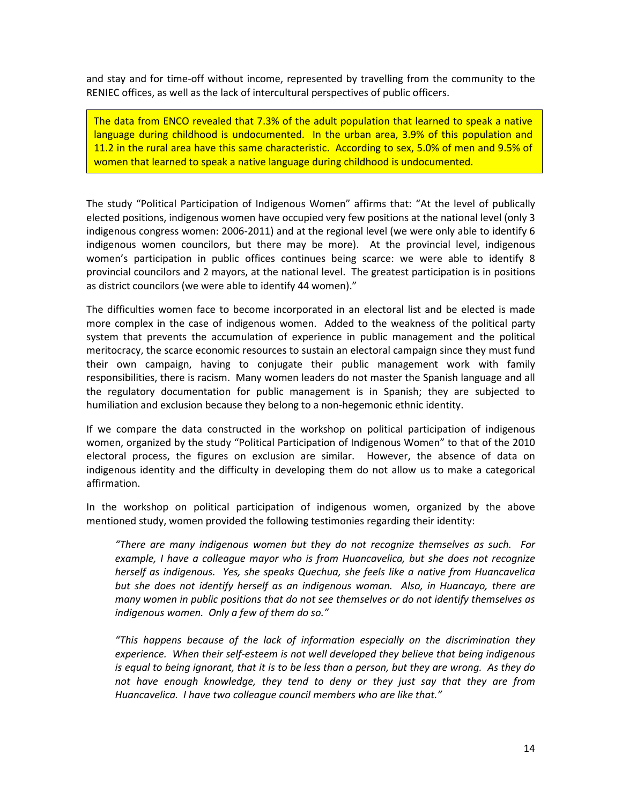and stay and for time-off without income, represented by travelling from the community to the RENIEC offices, as well as the lack of intercultural perspectives of public officers.

The data from ENCO revealed that 7.3% of the adult population that learned to speak a native language during childhood is undocumented. In the urban area, 3.9% of this population and 11.2 in the rural area have this same characteristic. According to sex, 5.0% of men and 9.5% of women that learned to speak a native language during childhood is undocumented.

The study "Political Participation of Indigenous Women" affirms that: "At the level of publically elected positions, indigenous women have occupied very few positions at the national level (only 3 indigenous congress women: 2006-2011) and at the regional level (we were only able to identify 6 indigenous women councilors, but there may be more). At the provincial level, indigenous women's participation in public offices continues being scarce: we were able to identify 8 provincial councilors and 2 mayors, at the national level. The greatest participation is in positions as district councilors (we were able to identify 44 women)."

The difficulties women face to become incorporated in an electoral list and be elected is made more complex in the case of indigenous women. Added to the weakness of the political party system that prevents the accumulation of experience in public management and the political meritocracy, the scarce economic resources to sustain an electoral campaign since they must fund their own campaign, having to conjugate their public management work with family responsibilities, there is racism. Many women leaders do not master the Spanish language and all the regulatory documentation for public management is in Spanish; they are subjected to humiliation and exclusion because they belong to a non-hegemonic ethnic identity.

If we compare the data constructed in the workshop on political participation of indigenous women, organized by the study "Political Participation of Indigenous Women" to that of the 2010 electoral process, the figures on exclusion are similar. However, the absence of data on indigenous identity and the difficulty in developing them do not allow us to make a categorical affirmation.

In the workshop on political participation of indigenous women, organized by the above mentioned study, women provided the following testimonies regarding their identity:

*"There are many indigenous women but they do not recognize themselves as such. For example, I have a colleague mayor who is from Huancavelica, but she does not recognize herself as indigenous. Yes, she speaks Quechua, she feels like a native from Huancavelica but she does not identify herself as an indigenous woman. Also, in Huancayo, there are many women in public positions that do not see themselves or do not identify themselves as indigenous women. Only a few of them do so."*

*"This happens because of the lack of information especially on the discrimination they experience. When their self-esteem is not well developed they believe that being indigenous is equal to being ignorant, that it is to be less than a person, but they are wrong. As they do not have enough knowledge, they tend to deny or they just say that they are from Huancavelica. I have two colleague council members who are like that."*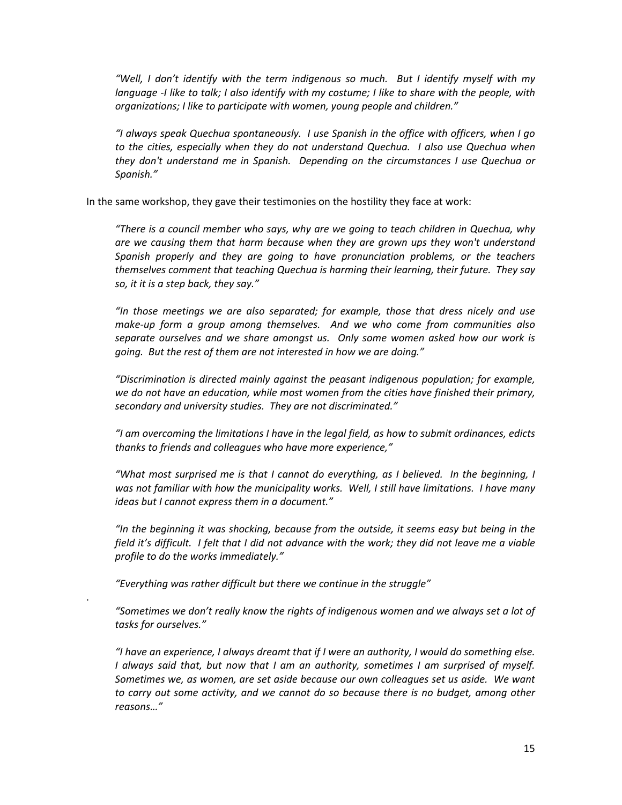*"Well, I don't identify with the term indigenous so much. But I identify myself with my language -I like to talk; I also identify with my costume; I like to share with the people, with organizations; I like to participate with women, young people and children."*

*"I always speak Quechua spontaneously. I use Spanish in the office with officers, when I go to the cities, especially when they do not understand Quechua. I also use Quechua when they don't understand me in Spanish. Depending on the circumstances I use Quechua or Spanish."*

In the same workshop, they gave their testimonies on the hostility they face at work:

*"There is a council member who says, why are we going to teach children in Quechua, why are we causing them that harm because when they are grown ups they won't understand Spanish properly and they are going to have pronunciation problems, or the teachers themselves comment that teaching Quechua is harming their learning, their future. They say so, it it is a step back, they say."*

*"In those meetings we are also separated; for example, those that dress nicely and use make-up form a group among themselves. And we who come from communities also separate ourselves and we share amongst us. Only some women asked how our work is going. But the rest of them are not interested in how we are doing."*

*"Discrimination is directed mainly against the peasant indigenous population; for example, we do not have an education, while most women from the cities have finished their primary, secondary and university studies. They are not discriminated."*

*"I am overcoming the limitations I have in the legal field, as how to submit ordinances, edicts thanks to friends and colleagues who have more experience,"*

*"What most surprised me is that I cannot do everything, as I believed. In the beginning, I was not familiar with how the municipality works. Well, I still have limitations. I have many ideas but I cannot express them in a document."*

*"In the beginning it was shocking, because from the outside, it seems easy but being in the field it's difficult. I felt that I did not advance with the work; they did not leave me a viable profile to do the works immediately."*

*"Everything was rather difficult but there we continue in the struggle"*

.

*"Sometimes we don't really know the rights of indigenous women and we always set a lot of tasks for ourselves."*

*"I have an experience, I always dreamt that if I were an authority, I would do something else. I always said that, but now that I am an authority, sometimes I am surprised of myself. Sometimes we, as women, are set aside because our own colleagues set us aside. We want to carry out some activity, and we cannot do so because there is no budget, among other reasons…"*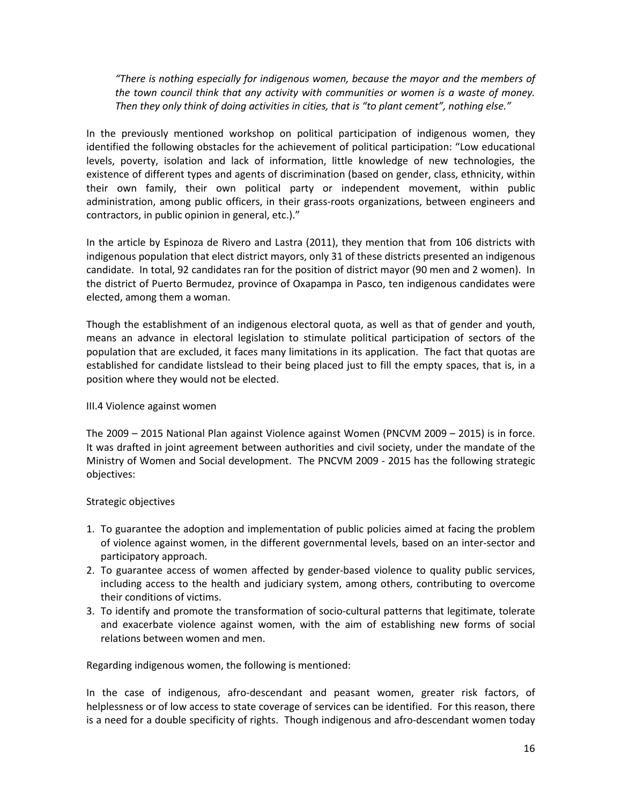*"There is nothing especially for indigenous women, because the mayor and the members of the town council think that any activity with communities or women is a waste of money. Then they only think of doing activities in cities, that is "to plant cement", nothing else."*

In the previously mentioned workshop on political participation of indigenous women, they identified the following obstacles for the achievement of political participation: "Low educational levels, poverty, isolation and lack of information, little knowledge of new technologies, the existence of different types and agents of discrimination (based on gender, class, ethnicity, within their own family, their own political party or independent movement, within public administration, among public officers, in their grass-roots organizations, between engineers and contractors, in public opinion in general, etc.)."

In the article by Espinoza de Rivero and Lastra (2011), they mention that from 106 districts with indigenous population that elect district mayors, only 31 of these districts presented an indigenous candidate. In total, 92 candidates ran for the position of district mayor (90 men and 2 women). In the district of Puerto Bermudez, province of Oxapampa in Pasco, ten indigenous candidates were elected, among them a woman.

Though the establishment of an indigenous electoral quota, as well as that of gender and youth, means an advance in electoral legislation to stimulate political participation of sectors of the population that are excluded, it faces many limitations in its application. The fact that quotas are established for candidate listslead to their being placed just to fill the empty spaces, that is, in a position where they would not be elected.

### III.4 Violence against women

The 2009 – 2015 National Plan against Violence against Women (PNCVM 2009 – 2015) is in force. It was drafted in joint agreement between authorities and civil society, under the mandate of the Ministry of Women and Social development. The PNCVM 2009 - 2015 has the following strategic objectives:

### Strategic objectives

- 1. To guarantee the adoption and implementation of public policies aimed at facing the problem of violence against women, in the different governmental levels, based on an inter-sector and participatory approach.
- 2. To guarantee access of women affected by gender-based violence to quality public services, including access to the health and judiciary system, among others, contributing to overcome their conditions of victims.
- 3. To identify and promote the transformation of socio-cultural patterns that legitimate, tolerate and exacerbate violence against women, with the aim of establishing new forms of social relations between women and men.

Regarding indigenous women, the following is mentioned:

In the case of indigenous, afro-descendant and peasant women, greater risk factors, of helplessness or of low access to state coverage of services can be identified. For this reason, there is a need for a double specificity of rights. Though indigenous and afro-descendant women today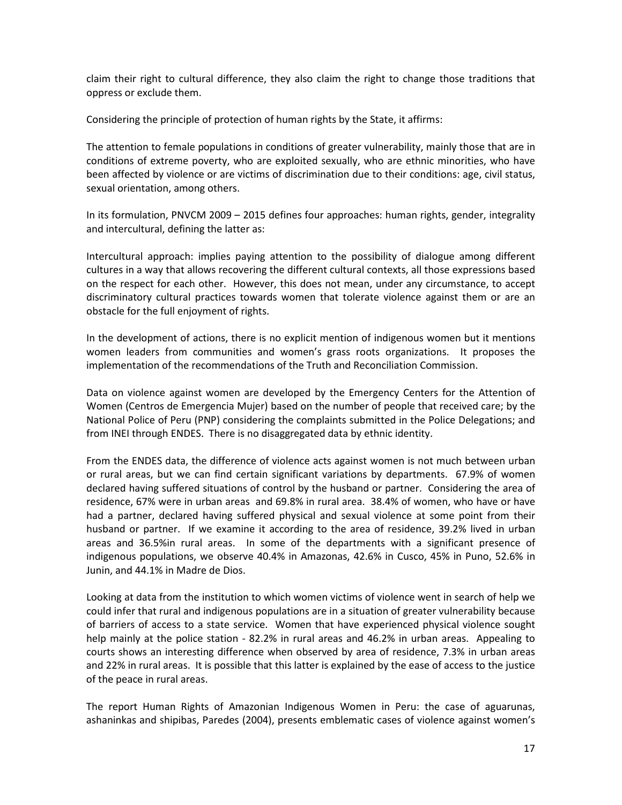claim their right to cultural difference, they also claim the right to change those traditions that oppress or exclude them.

Considering the principle of protection of human rights by the State, it affirms:

The attention to female populations in conditions of greater vulnerability, mainly those that are in conditions of extreme poverty, who are exploited sexually, who are ethnic minorities, who have been affected by violence or are victims of discrimination due to their conditions: age, civil status, sexual orientation, among others.

In its formulation, PNVCM 2009 – 2015 defines four approaches: human rights, gender, integrality and intercultural, defining the latter as:

Intercultural approach: implies paying attention to the possibility of dialogue among different cultures in a way that allows recovering the different cultural contexts, all those expressions based on the respect for each other. However, this does not mean, under any circumstance, to accept discriminatory cultural practices towards women that tolerate violence against them or are an obstacle for the full enjoyment of rights.

In the development of actions, there is no explicit mention of indigenous women but it mentions women leaders from communities and women's grass roots organizations. It proposes the implementation of the recommendations of the Truth and Reconciliation Commission.

Data on violence against women are developed by the Emergency Centers for the Attention of Women (Centros de Emergencia Mujer) based on the number of people that received care; by the National Police of Peru (PNP) considering the complaints submitted in the Police Delegations; and from INEI through ENDES. There is no disaggregated data by ethnic identity.

From the ENDES data, the difference of violence acts against women is not much between urban or rural areas, but we can find certain significant variations by departments. 67.9% of women declared having suffered situations of control by the husband or partner. Considering the area of residence, 67% were in urban areas and 69.8% in rural area. 38.4% of women, who have or have had a partner, declared having suffered physical and sexual violence at some point from their husband or partner. If we examine it according to the area of residence, 39.2% lived in urban areas and 36.5%in rural areas. In some of the departments with a significant presence of indigenous populations, we observe 40.4% in Amazonas, 42.6% in Cusco, 45% in Puno, 52.6% in Junin, and 44.1% in Madre de Dios.

Looking at data from the institution to which women victims of violence went in search of help we could infer that rural and indigenous populations are in a situation of greater vulnerability because of barriers of access to a state service. Women that have experienced physical violence sought help mainly at the police station - 82.2% in rural areas and 46.2% in urban areas. Appealing to courts shows an interesting difference when observed by area of residence, 7.3% in urban areas and 22% in rural areas. It is possible that this latter is explained by the ease of access to the justice of the peace in rural areas.

The report Human Rights of Amazonian Indigenous Women in Peru: the case of aguarunas, ashaninkas and shipibas, Paredes (2004), presents emblematic cases of violence against women's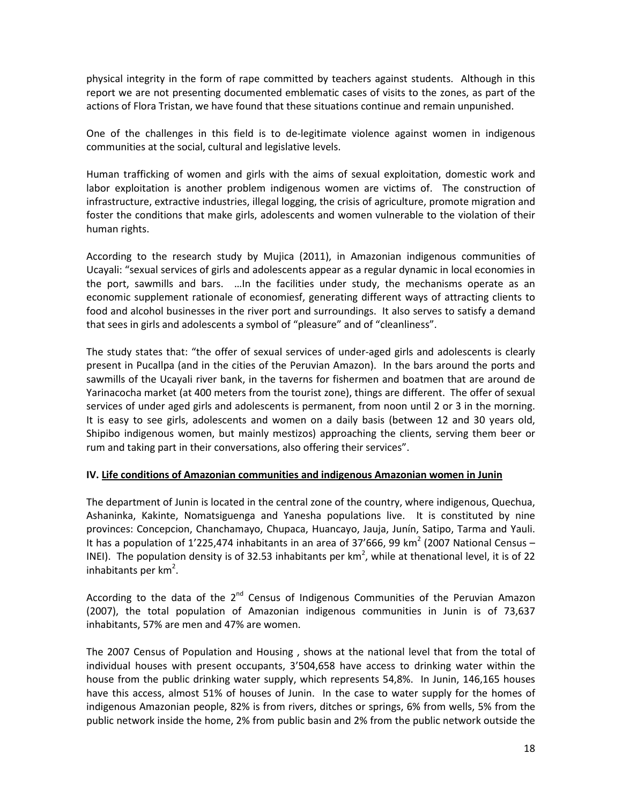physical integrity in the form of rape committed by teachers against students. Although in this report we are not presenting documented emblematic cases of visits to the zones, as part of the actions of Flora Tristan, we have found that these situations continue and remain unpunished.

One of the challenges in this field is to de-legitimate violence against women in indigenous communities at the social, cultural and legislative levels.

Human trafficking of women and girls with the aims of sexual exploitation, domestic work and labor exploitation is another problem indigenous women are victims of. The construction of infrastructure, extractive industries, illegal logging, the crisis of agriculture, promote migration and foster the conditions that make girls, adolescents and women vulnerable to the violation of their human rights.

According to the research study by Mujica (2011), in Amazonian indigenous communities of Ucayali: "sexual services of girls and adolescents appear as a regular dynamic in local economies in the port, sawmills and bars. …In the facilities under study, the mechanisms operate as an economic supplement rationale of economiesf, generating different ways of attracting clients to food and alcohol businesses in the river port and surroundings. It also serves to satisfy a demand that sees in girls and adolescents a symbol of "pleasure" and of "cleanliness".

The study states that: "the offer of sexual services of under-aged girls and adolescents is clearly present in Pucallpa (and in the cities of the Peruvian Amazon). In the bars around the ports and sawmills of the Ucayali river bank, in the taverns for fishermen and boatmen that are around de Yarinacocha market (at 400 meters from the tourist zone), things are different. The offer of sexual services of under aged girls and adolescents is permanent, from noon until 2 or 3 in the morning. It is easy to see girls, adolescents and women on a daily basis (between 12 and 30 years old, Shipibo indigenous women, but mainly mestizos) approaching the clients, serving them beer or rum and taking part in their conversations, also offering their services".

### **IV. Life conditions of Amazonian communities and indigenous Amazonian women in Junin**

The department of Junin is located in the central zone of the country, where indigenous, Quechua, Ashaninka, Kakinte, Nomatsiguenga and Yanesha populations live. It is constituted by nine provinces: Concepcion, Chanchamayo, Chupaca, Huancayo, Jauja, Junín, Satipo, Tarma and Yauli. It has a population of 1'225,474 inhabitants in an area of 37'666, 99 km<sup>2</sup> (2007 National Census – INEI). The population density is of 32.53 inhabitants per  $km^2$ , while at thenational level, it is of 22 inhabitants per km<sup>2</sup>.

According to the data of the  $2^{nd}$  Census of Indigenous Communities of the Peruvian Amazon (2007), the total population of Amazonian indigenous communities in Junin is of 73,637 inhabitants, 57% are men and 47% are women.

The 2007 Census of Population and Housing , shows at the national level that from the total of individual houses with present occupants, 3'504,658 have access to drinking water within the house from the public drinking water supply, which represents 54,8%. In Junin, 146,165 houses have this access, almost 51% of houses of Junin. In the case to water supply for the homes of indigenous Amazonian people, 82% is from rivers, ditches or springs, 6% from wells, 5% from the public network inside the home, 2% from public basin and 2% from the public network outside the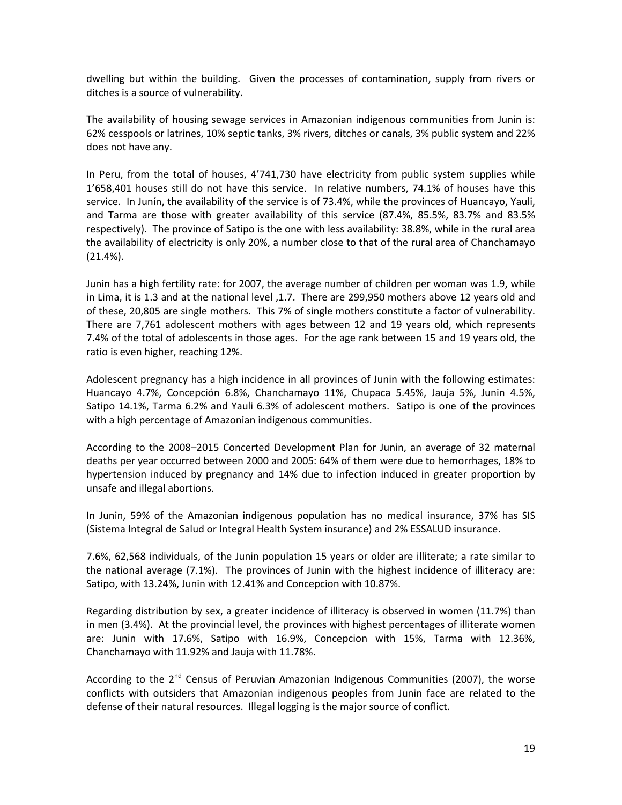dwelling but within the building. Given the processes of contamination, supply from rivers or ditches is a source of vulnerability.

The availability of housing sewage services in Amazonian indigenous communities from Junin is: 62% cesspools or latrines, 10% septic tanks, 3% rivers, ditches or canals, 3% public system and 22% does not have any.

In Peru, from the total of houses, 4'741,730 have electricity from public system supplies while 1'658,401 houses still do not have this service. In relative numbers, 74.1% of houses have this service. In Junín, the availability of the service is of 73.4%, while the provinces of Huancayo, Yauli, and Tarma are those with greater availability of this service (87.4%, 85.5%, 83.7% and 83.5% respectively). The province of Satipo is the one with less availability: 38.8%, while in the rural area the availability of electricity is only 20%, a number close to that of the rural area of Chanchamayo (21.4%).

Junin has a high fertility rate: for 2007, the average number of children per woman was 1.9, while in Lima, it is 1.3 and at the national level ,1.7. There are 299,950 mothers above 12 years old and of these, 20,805 are single mothers. This 7% of single mothers constitute a factor of vulnerability. There are 7,761 adolescent mothers with ages between 12 and 19 years old, which represents 7.4% of the total of adolescents in those ages. For the age rank between 15 and 19 years old, the ratio is even higher, reaching 12%.

Adolescent pregnancy has a high incidence in all provinces of Junin with the following estimates: Huancayo 4.7%, Concepción 6.8%, Chanchamayo 11%, Chupaca 5.45%, Jauja 5%, Junin 4.5%, Satipo 14.1%, Tarma 6.2% and Yauli 6.3% of adolescent mothers. Satipo is one of the provinces with a high percentage of Amazonian indigenous communities.

According to the 2008–2015 Concerted Development Plan for Junin, an average of 32 maternal deaths per year occurred between 2000 and 2005: 64% of them were due to hemorrhages, 18% to hypertension induced by pregnancy and 14% due to infection induced in greater proportion by unsafe and illegal abortions.

In Junin, 59% of the Amazonian indigenous population has no medical insurance, 37% has SIS (Sistema Integral de Salud or Integral Health System insurance) and 2% ESSALUD insurance.

7.6%, 62,568 individuals, of the Junin population 15 years or older are illiterate; a rate similar to the national average (7.1%). The provinces of Junin with the highest incidence of illiteracy are: Satipo, with 13.24%, Junin with 12.41% and Concepcion with 10.87%.

Regarding distribution by sex, a greater incidence of illiteracy is observed in women (11.7%) than in men (3.4%). At the provincial level, the provinces with highest percentages of illiterate women are: Junin with 17.6%, Satipo with 16.9%, Concepcion with 15%, Tarma with 12.36%, Chanchamayo with 11.92% and Jauja with 11.78%.

According to the  $2^{nd}$  Census of Peruvian Amazonian Indigenous Communities (2007), the worse conflicts with outsiders that Amazonian indigenous peoples from Junin face are related to the defense of their natural resources. Illegal logging is the major source of conflict.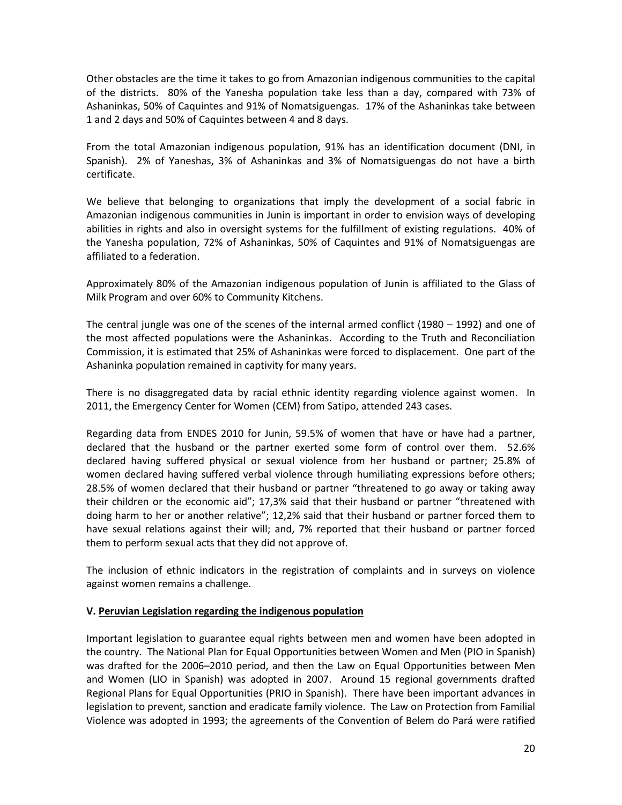Other obstacles are the time it takes to go from Amazonian indigenous communities to the capital of the districts. 80% of the Yanesha population take less than a day, compared with 73% of Ashaninkas, 50% of Caquintes and 91% of Nomatsiguengas. 17% of the Ashaninkas take between 1 and 2 days and 50% of Caquintes between 4 and 8 days.

From the total Amazonian indigenous population, 91% has an identification document (DNI, in Spanish). 2% of Yaneshas, 3% of Ashaninkas and 3% of Nomatsiguengas do not have a birth certificate.

We believe that belonging to organizations that imply the development of a social fabric in Amazonian indigenous communities in Junin is important in order to envision ways of developing abilities in rights and also in oversight systems for the fulfillment of existing regulations. 40% of the Yanesha population, 72% of Ashaninkas, 50% of Caquintes and 91% of Nomatsiguengas are affiliated to a federation.

Approximately 80% of the Amazonian indigenous population of Junin is affiliated to the Glass of Milk Program and over 60% to Community Kitchens.

The central jungle was one of the scenes of the internal armed conflict (1980 – 1992) and one of the most affected populations were the Ashaninkas. According to the Truth and Reconciliation Commission, it is estimated that 25% of Ashaninkas were forced to displacement. One part of the Ashaninka population remained in captivity for many years.

There is no disaggregated data by racial ethnic identity regarding violence against women. In 2011, the Emergency Center for Women (CEM) from Satipo, attended 243 cases.

Regarding data from ENDES 2010 for Junin, 59.5% of women that have or have had a partner, declared that the husband or the partner exerted some form of control over them. 52.6% declared having suffered physical or sexual violence from her husband or partner; 25.8% of women declared having suffered verbal violence through humiliating expressions before others; 28.5% of women declared that their husband or partner "threatened to go away or taking away their children or the economic aid"; 17,3% said that their husband or partner "threatened with doing harm to her or another relative"; 12,2% said that their husband or partner forced them to have sexual relations against their will; and, 7% reported that their husband or partner forced them to perform sexual acts that they did not approve of.

The inclusion of ethnic indicators in the registration of complaints and in surveys on violence against women remains a challenge.

### **V. Peruvian Legislation regarding the indigenous population**

Important legislation to guarantee equal rights between men and women have been adopted in the country. The National Plan for Equal Opportunities between Women and Men (PIO in Spanish) was drafted for the 2006–2010 period, and then the Law on Equal Opportunities between Men and Women (LIO in Spanish) was adopted in 2007. Around 15 regional governments drafted Regional Plans for Equal Opportunities (PRIO in Spanish). There have been important advances in legislation to prevent, sanction and eradicate family violence. The Law on Protection from Familial Violence was adopted in 1993; the agreements of the Convention of Belem do Pará were ratified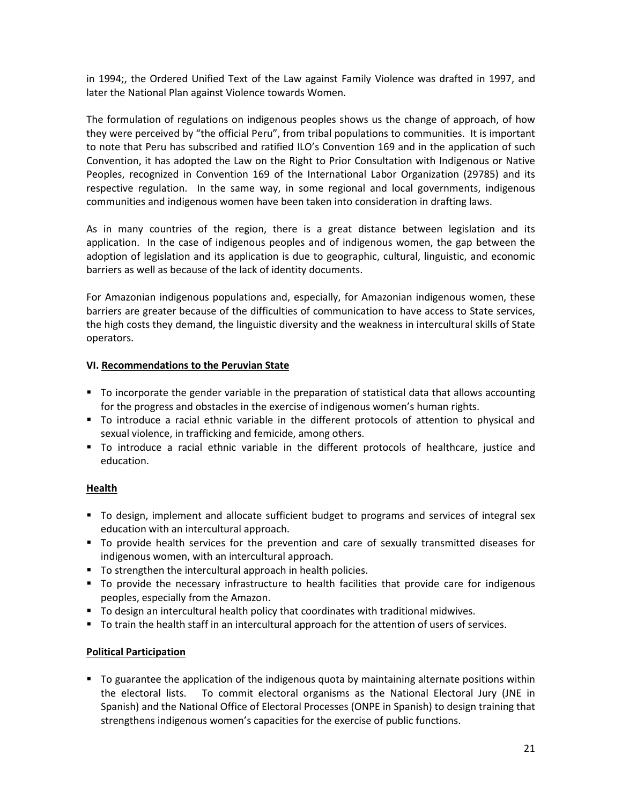in 1994;, the Ordered Unified Text of the Law against Family Violence was drafted in 1997, and later the National Plan against Violence towards Women.

The formulation of regulations on indigenous peoples shows us the change of approach, of how they were perceived by "the official Peru", from tribal populations to communities. It is important to note that Peru has subscribed and ratified ILO's Convention 169 and in the application of such Convention, it has adopted the Law on the Right to Prior Consultation with Indigenous or Native Peoples, recognized in Convention 169 of the International Labor Organization (29785) and its respective regulation. In the same way, in some regional and local governments, indigenous communities and indigenous women have been taken into consideration in drafting laws.

As in many countries of the region, there is a great distance between legislation and its application. In the case of indigenous peoples and of indigenous women, the gap between the adoption of legislation and its application is due to geographic, cultural, linguistic, and economic barriers as well as because of the lack of identity documents.

For Amazonian indigenous populations and, especially, for Amazonian indigenous women, these barriers are greater because of the difficulties of communication to have access to State services, the high costs they demand, the linguistic diversity and the weakness in intercultural skills of State operators.

## **VI. Recommendations to the Peruvian State**

- To incorporate the gender variable in the preparation of statistical data that allows accounting for the progress and obstacles in the exercise of indigenous women's human rights.
- To introduce a racial ethnic variable in the different protocols of attention to physical and sexual violence, in trafficking and femicide, among others.
- To introduce a racial ethnic variable in the different protocols of healthcare, justice and education.

# **Health**

- To design, implement and allocate sufficient budget to programs and services of integral sex education with an intercultural approach.
- To provide health services for the prevention and care of sexually transmitted diseases for indigenous women, with an intercultural approach.
- To strengthen the intercultural approach in health policies.
- To provide the necessary infrastructure to health facilities that provide care for indigenous peoples, especially from the Amazon.
- To design an intercultural health policy that coordinates with traditional midwives.
- To train the health staff in an intercultural approach for the attention of users of services.

# **Political Participation**

To guarantee the application of the indigenous quota by maintaining alternate positions within the electoral lists. To commit electoral organisms as the National Electoral Jury (JNE in Spanish) and the National Office of Electoral Processes (ONPE in Spanish) to design training that strengthens indigenous women's capacities for the exercise of public functions.